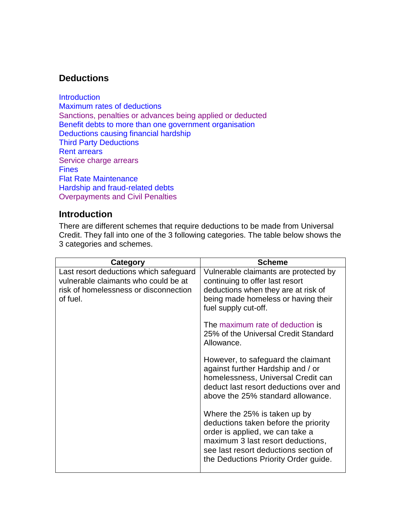# **Deductions**

**[Introduction](#page-0-0)** [Maximum rates of deductions](#page-2-0) [Sanctions, penalties or advances being applied or deducted](#page-2-1) [Benefit debts to more than one government organisation](#page-2-2) [Deductions causing financial hardship](#page-3-0) [Third Party Deductions](#page-3-1) [Rent arrears](#page-4-0) [Service charge arrears](#page-4-1) **[Fines](#page-4-2)** [Flat Rate Maintenance](#page-5-0) [Hardship and fraud-related](#page-5-1) debts [Overpayments and Civil Penalties](#page-5-2)

#### <span id="page-0-0"></span>**Introduction**

There are different schemes that require deductions to be made from Universal Credit. They fall into one of the 3 following categories. The table below shows the 3 categories and schemes.

| <b>Category</b>                                                                                                                     | <b>Scheme</b>                                                                                                                                                                                                                 |
|-------------------------------------------------------------------------------------------------------------------------------------|-------------------------------------------------------------------------------------------------------------------------------------------------------------------------------------------------------------------------------|
| Last resort deductions which safeguard<br>vulnerable claimants who could be at<br>risk of homelessness or disconnection<br>of fuel. | Vulnerable claimants are protected by<br>continuing to offer last resort<br>deductions when they are at risk of<br>being made homeless or having their<br>fuel supply cut-off.                                                |
|                                                                                                                                     | The maximum rate of deduction is<br>25% of the Universal Credit Standard<br>Allowance.                                                                                                                                        |
|                                                                                                                                     | However, to safeguard the claimant<br>against further Hardship and / or<br>homelessness, Universal Credit can<br>deduct last resort deductions over and<br>above the 25% standard allowance.                                  |
|                                                                                                                                     | Where the 25% is taken up by<br>deductions taken before the priority<br>order is applied, we can take a<br>maximum 3 last resort deductions,<br>see last resort deductions section of<br>the Deductions Priority Order guide. |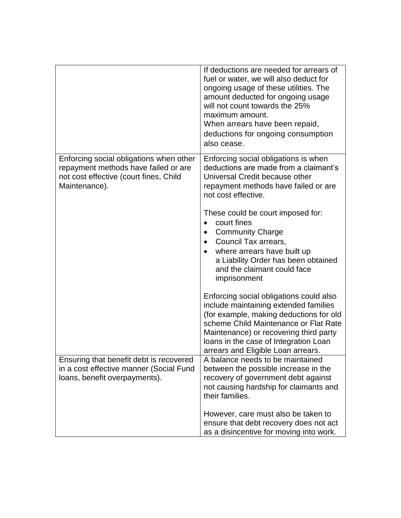|                                                                                                                                            | If deductions are needed for arrears of<br>fuel or water, we will also deduct for<br>ongoing usage of these utilities. The<br>amount deducted for ongoing usage<br>will not count towards the 25%<br>maximum amount.<br>When arrears have been repaid,<br>deductions for ongoing consumption<br>also cease. |
|--------------------------------------------------------------------------------------------------------------------------------------------|-------------------------------------------------------------------------------------------------------------------------------------------------------------------------------------------------------------------------------------------------------------------------------------------------------------|
| Enforcing social obligations when other<br>repayment methods have failed or are<br>not cost effective (court fines, Child<br>Maintenance). | Enforcing social obligations is when<br>deductions are made from a claimant's<br>Universal Credit because other<br>repayment methods have failed or are<br>not cost effective.                                                                                                                              |
|                                                                                                                                            | These could be court imposed for:<br>court fines<br>$\bullet$<br><b>Community Charge</b><br>Council Tax arrears,<br>٠<br>where arrears have built up<br>a Liability Order has been obtained<br>and the claimant could face<br>imprisonment                                                                  |
|                                                                                                                                            | Enforcing social obligations could also<br>include maintaining extended families<br>(for example, making deductions for old<br>scheme Child Maintenance or Flat Rate<br>Maintenance) or recovering third party<br>loans in the case of Integration Loan<br>arrears and Eligible Loan arrears.               |
| Ensuring that benefit debt is recovered<br>in a cost effective manner (Social Fund<br>loans, benefit overpayments).                        | A balance needs to be maintained<br>between the possible increase in the<br>recovery of government debt against<br>not causing hardship for claimants and<br>their families.                                                                                                                                |
|                                                                                                                                            | However, care must also be taken to<br>ensure that debt recovery does not act<br>as a disincentive for moving into work.                                                                                                                                                                                    |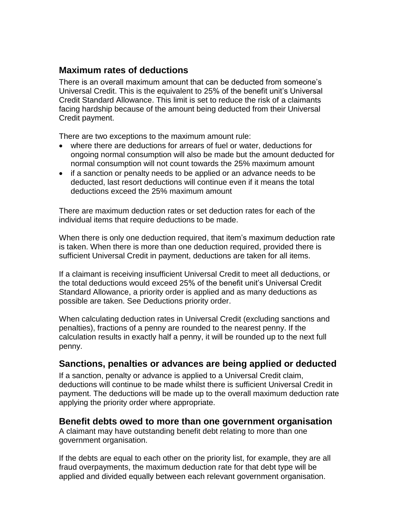### <span id="page-2-0"></span>**Maximum rates of deductions**

There is an overall maximum amount that can be deducted from someone's Universal Credit. This is the equivalent to 25% of the benefit unit's Universal Credit Standard Allowance. This limit is set to reduce the risk of a claimants facing hardship because of the amount being deducted from their Universal Credit payment.

There are two exceptions to the maximum amount rule:

- where there are deductions for arrears of fuel or water, deductions for ongoing normal consumption will also be made but the amount deducted for normal consumption will not count towards the 25% maximum amount
- if a sanction or penalty needs to be applied or an advance needs to be deducted, last resort deductions will continue even if it means the total deductions exceed the 25% maximum amount

There are maximum deduction rates or set deduction rates for each of the individual items that require deductions to be made.

When there is only one deduction required, that item's maximum deduction rate is taken. When there is more than one deduction required, provided there is sufficient Universal Credit in payment, deductions are taken for all items.

If a claimant is receiving insufficient Universal Credit to meet all deductions, or the total deductions would exceed 25% of the benefit unit's Universal Credit Standard Allowance, a priority order is applied and as many deductions as possible are taken. See Deductions priority order.

When calculating deduction rates in Universal Credit (excluding sanctions and penalties), fractions of a penny are rounded to the nearest penny. If the calculation results in exactly half a penny, it will be rounded up to the next full penny.

### <span id="page-2-1"></span>**Sanctions, penalties or advances are being applied or deducted**

If a sanction, penalty or advance is applied to a Universal Credit claim, deductions will continue to be made whilst there is sufficient Universal Credit in payment. The deductions will be made up to the overall maximum deduction rate applying the priority order where appropriate.

#### <span id="page-2-2"></span>**Benefit debts owed to more than one government organisation**

A claimant may have outstanding benefit debt relating to more than one government organisation.

If the debts are equal to each other on the priority list, for example, they are all fraud overpayments, the maximum deduction rate for that debt type will be applied and divided equally between each relevant government organisation.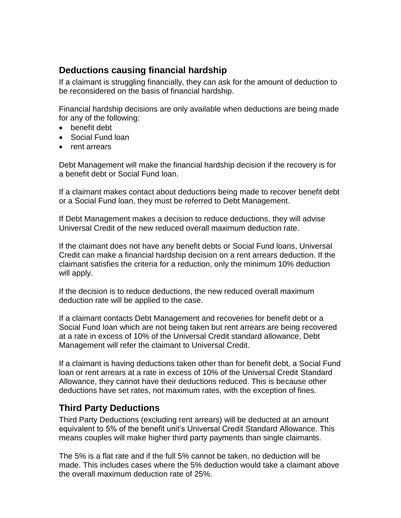## <span id="page-3-0"></span>**Deductions causing financial hardship**

If a claimant is struggling financially, they can ask for the amount of deduction to be reconsidered on the basis of financial hardship.

Financial hardship decisions are only available when deductions are being made for any of the following:

- benefit debt
- Social Fund loan
- rent arrears

Debt Management will make the financial hardship decision if the recovery is for a benefit debt or Social Fund loan.

If a claimant makes contact about deductions being made to recover benefit debt or a Social Fund loan, they must be referred to Debt Management.

If Debt Management makes a decision to reduce deductions, they will advise Universal Credit of the new reduced overall maximum deduction rate.

If the claimant does not have any benefit debts or Social Fund loans, Universal Credit can make a financial hardship decision on a rent arrears deduction. If the claimant satisfies the criteria for a reduction, only the minimum 10% deduction will apply.

If the decision is to reduce deductions, the new reduced overall maximum deduction rate will be applied to the case.

If a claimant contacts Debt Management and recoveries for benefit debt or a Social Fund loan which are not being taken but rent arrears are being recovered at a rate in excess of 10% of the Universal Credit standard allowance, Debt Management will refer the claimant to Universal Credit.

If a claimant is having deductions taken other than for benefit debt, a Social Fund loan or rent arrears at a rate in excess of 10% of the Universal Credit Standard Allowance, they cannot have their deductions reduced. This is because other deductions have set rates, not maximum rates, with the exception of fines.

# <span id="page-3-1"></span>**Third Party Deductions**

Third Party Deductions (excluding rent arrears) will be deducted at an amount equivalent to 5% of the benefit unit's Universal Credit Standard Allowance. This means couples will make higher third party payments than single claimants.

The 5% is a flat rate and if the full 5% cannot be taken, no deduction will be made. This includes cases where the 5% deduction would take a claimant above the overall maximum deduction rate of 25%.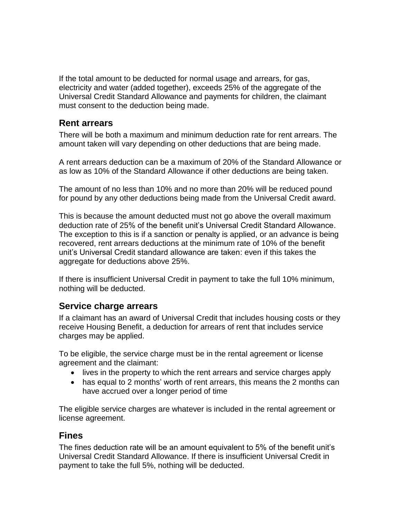If the total amount to be deducted for normal usage and arrears, for gas, electricity and water (added together), exceeds 25% of the aggregate of the Universal Credit Standard Allowance and payments for children, the claimant must consent to the deduction being made.

### <span id="page-4-0"></span>**Rent arrears**

There will be both a maximum and minimum deduction rate for rent arrears. The amount taken will vary depending on other deductions that are being made.

A rent arrears deduction can be a maximum of 20% of the Standard Allowance or as low as 10% of the Standard Allowance if other deductions are being taken.

The amount of no less than 10% and no more than 20% will be reduced pound for pound by any other deductions being made from the Universal Credit award.

This is because the amount deducted must not go above the overall maximum deduction rate of 25% of the benefit unit's Universal Credit Standard Allowance. The exception to this is if a sanction or penalty is applied, or an advance is being recovered, rent arrears deductions at the minimum rate of 10% of the benefit unit's Universal Credit standard allowance are taken: even if this takes the aggregate for deductions above 25%.

If there is insufficient Universal Credit in payment to take the full 10% minimum, nothing will be deducted.

### <span id="page-4-1"></span>**Service charge arrears**

If a claimant has an award of Universal Credit that includes housing costs or they receive Housing Benefit, a deduction for arrears of rent that includes service charges may be applied.

To be eligible, the service charge must be in the rental agreement or license agreement and the claimant:

- lives in the property to which the rent arrears and service charges apply
- has equal to 2 months' worth of rent arrears, this means the 2 months can have accrued over a longer period of time

The eligible service charges are whatever is included in the rental agreement or license agreement.

### <span id="page-4-2"></span>**Fines**

The fines deduction rate will be an amount equivalent to 5% of the benefit unit's Universal Credit Standard Allowance. If there is insufficient Universal Credit in payment to take the full 5%, nothing will be deducted.